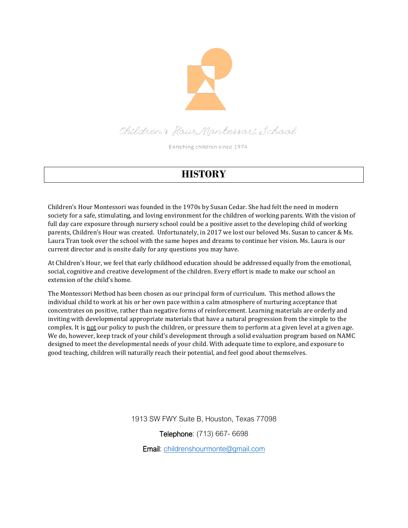

Children's Hour Montessori School

Enriching children since 1974

## **HISTORY**

Children's Hour Montessori was founded in the 1970s by Susan Cedar. She had felt the need in modern society for a safe, stimulating, and loving environment for the children of working parents. With the vision of full day care exposure through nursery school could be a positive asset to the developing child of working parents, Children's Hour was created. Unfortunately, in 2017 we lost our beloved Ms. Susan to cancer & Ms. Laura Tran took over the school with the same hopes and dreams to continue her vision. Ms. Laura is our current director and is onsite daily for any questions you may have.

At Children's Hour, we feel that early childhood education should be addressed equally from the emotional, social, cognitive and creative development of the children. Every effort is made to make our school an extension of the child's home.

The Montessori Method has been chosen as our principal form of curriculum. This method allows the individual child to work at his or her own pace within a calm atmosphere of nurturing acceptance that concentrates on positive, rather than negative forms of reinforcement. Learning materials are orderly and inviting with developmental appropriate materials that have a natural progression from the simple to the complex. It is not our policy to push the children, or pressure them to perform at a given level at a given age. We do, however, keep track of your child's development through a solid evaluation program based on NAMC designed to meet the developmental needs of your child. With adequate time to explore, and exposure to good teaching, children will naturally reach their potential, and feel good about themselves.

1913 SW FWY Suite B, Houston, Texas 77098

Telephone: (713) 667- 6698

Email: [childrenshourmonte@gmail.com](mailto:childrenshourmonte@gmail.com)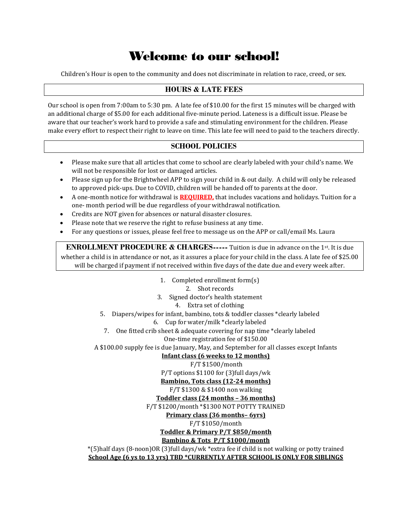## Welcome to our school!

Children's Hour is open to the community and does not discriminate in relation to race, creed, or sex.

#### **HOURS & LATE FEES**

Our school is open from 7:00am to 5:30 pm. A late fee of \$10.00 for the first 15 minutes will be charged with an additional charge of \$5.00 for each additional five-minute period. Lateness is a difficult issue. Please be aware that our teacher's work hard to provide a safe and stimulating environment for the children. Please make every effort to respect their right to leave on time. This late fee will need to paid to the teachers directly.

#### **SCHOOL POLICIES**

- Please make sure that all articles that come to school are clearly labeled with your child's name. We will not be responsible for lost or damaged articles.
- Please sign up for the Brightwheel APP to sign your child in & out daily. A child will only be released to approved pick-ups. Due to COVID, children will be handed off to parents at the door.
- A one-month notice for withdrawal is **REQUIRED,** that includes vacations and holidays. Tuition for a one- month period will be due regardless of your withdrawal notification.
- Credits are NOT given for absences or natural disaster closures.
- Please note that we reserve the right to refuse business at any time.
- For any questions or issues, please feel free to message us on the APP or call/email Ms. Laura

**ENROLLMENT PROCEDURE & CHARGES-----** Tuition is due in advance on the 1st. It is due whether a child is in attendance or not, as it assures a place for your child in the class. A late fee of \$25.00 will be charged if payment if not received within five days of the date due and every week after.

1. Completed enrollment form(s)

2. Shot records

3. Signed doctor's health statement

4. Extra set of clothing

5. Diapers/wipes for infant, bambino, tots & toddler classes \*clearly labeled

6. Cup for water/milk \*clearly labeled

7. One fitted crib sheet & adequate covering for nap time \*clearly labeled

One-time registration fee of \$150.00

A \$100.00 supply fee is due January, May, and September for all classes except Infants

#### **Infant class (6 weeks to 12 months)**

F/T \$1500/month

P/T options \$1100 for (3)full days/wk

**Bambino, Tots class (12-24 months)** 

#### F/T \$1300 & \$1400 non walking

**Toddler class (24 months – 36 months)**

F/T \$1200/month \*\$1300 NOT POTTY TRAINED

#### **Primary class (36 months– 6yrs)**

#### F/T \$1050/month

#### **Toddler & Primary P/T \$850/month**

#### **Bambino & Tots P/T \$1000/month**

\*(5)half days (8-noon)OR (3)full days/wk \*extra fee if child is not walking or potty trained **School Age (6 ys to 13 yrs) TBD \*CURRENTLY AFTER SCHOOL IS ONLY FOR SIBLINGS**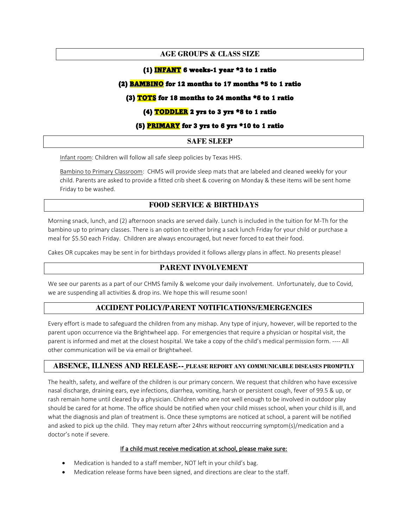#### **AGE GROUPS & CLASS SIZE**

#### (1) INFANT 6 weeks-1 year  $*3$  to 1 ratio

#### (2) **BAMBINO** for 12 months to 17 months \*5 to 1 ratio

#### (3)  $TOTS$  for 18 months to 24 months  $*6$  to 1 ratio</u>

#### (4) **TODDLER** 2 yrs to 3 yrs \*8 to 1 ratio

#### (5) **PRIMARY** for 3 yrs to 6 yrs \*10 to 1 ratio

#### **SAFE SLEEP**

Infant room: Children will follow all safe sleep policies by Texas HHS.

Bambino to Primary Classroom: CHMS will provide sleep mats that are labeled and cleaned weekly for your child. Parents are asked to provide a fitted crib sheet & covering on Monday & these items will be sent home Friday to be washed.

#### **FOOD SERVICE & BIRTHDAYS**

Morning snack, lunch, and (2) afternoon snacks are served daily. Lunch is included in the tuition for M-Th for the bambino up to primary classes. There is an option to either bring a sack lunch Friday for your child or purchase a meal for \$5.50 each Friday. Children are always encouraged, but never forced to eat their food.

Cakes OR cupcakes may be sent in for birthdays provided it follows allergy plans in affect. No presents please!

#### **PARENT INVOLVEMENT**

We see our parents as a part of our CHMS family & welcome your daily involvement. Unfortunately, due to Covid, we are suspending all activities & drop ins. We hope this will resume soon!

#### **ACCIDENT POLICY/PARENT NOTIFICATIONS/EMERGENCIES**

Every effort is made to safeguard the children from any mishap. Any type of injury, however, will be reported to the parent upon occurrence via the Brightwheel app. For emergencies that require a physician or hospital visit, the parent is informed and met at the closest hospital. We take a copy of the child's medical permission form. ---- All other communication will be via email or Brightwheel.

#### **ABSENCE, ILLNESS AND RELEASE-- PLEASE REPORT ANY COMMUNICABLE DISEASES PROMPTLY**

The health, safety, and welfare of the children is our primary concern. We request that children who have excessive nasal discharge, draining ears, eye infections, diarrhea, vomiting, harsh or persistent cough, fever of 99.5 & up, or rash remain home until cleared by a physician. Children who are not well enough to be involved in outdoor play should be cared for at home. The office should be notified when your child misses school, when your child is ill, and what the diagnosis and plan of treatment is. Once these symptoms are noticed at school, a parent will be notified and asked to pick up the child. They may return after 24hrs without reoccurring symptom(s)/medication and a doctor's note if severe.

#### If a child must receive medication at school, please make sure:

- Medication is handed to a staff member, NOT left in your child's bag.
- Medication release forms have been signed, and directions are clear to the staff.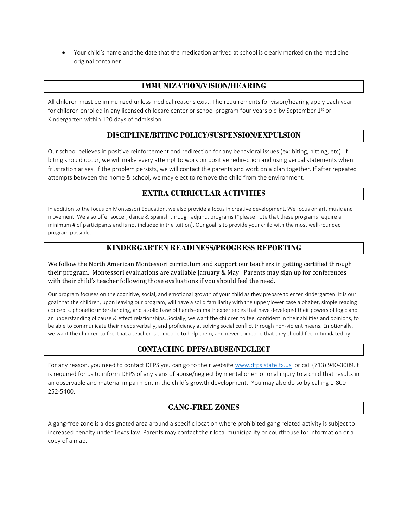• Your child's name and the date that the medication arrived at school is clearly marked on the medicine original container.

#### **IMMUNIZATION/VISION/HEARING**

All children must be immunized unless medical reasons exist. The requirements for vision/hearing apply each year for children enrolled in any licensed childcare center or school program four years old by September  $1<sup>st</sup>$  or Kindergarten within 120 days of admission.

#### **DISCIPLINE/BITING POLICY/SUSPENSION/EXPULSION**

Our school believes in positive reinforcement and redirection for any behavioral issues (ex: biting, hitting, etc). If biting should occur, we will make every attempt to work on positive redirection and using verbal statements when frustration arises. If the problem persists, we will contact the parents and work on a plan together. If after repeated attempts between the home & school, we may elect to remove the child from the environment.

#### **EXTRA CURRICULAR ACTIVITIES**

In addition to the focus on Montessori Education, we also provide a focus in creative development. We focus on art, music and movement. We also offer soccer, dance & Spanish through adjunct programs (\*please note that these programs require a minimum # of participants and is not included in the tuition). Our goal is to provide your child with the most well-rounded program possible.

#### **KINDERGARTEN READINESS/PROGRESS REPORTING**

We follow the North American Montessori curriculum and support our teachers in getting certified through their program. Montessori evaluations are available January & May. Parents may sign up for conferences with their child's teacher following those evaluations if you should feel the need.

Our program focuses on the cognitive, social, and emotional growth of your child as they prepare to enter kindergarten. It is our goal that the children, upon leaving our program, will have a solid familiarity with the upper/lower case alphabet, simple reading concepts, phonetic understanding, and a solid base of hands-on math experiences that have developed their powers of logic and an understanding of cause & effect relationships. Socially, we want the children to feel confident in their abilities and opinions, to be able to communicate their needs verbally, and proficiency at solving social conflict through non-violent means. Emotionally, we want the children to feel that a teacher is someone to help them, and never someone that they should feel intimidated by.

#### **CONTACTING DPFS/ABUSE/NEGLECT**

For any reason, you need to contact DFPS you can go to their website [www.dfps.state.tx.us](http://www.dfps.state.tx.us/) or call (713) 940-3009.It is required for us to inform DFPS of any signs of abuse/neglect by mental or emotional injury to a child that results in an observable and material impairment in the child's growth development. You may also do so by calling 1-800- 252-5400.

#### **GANG-FREE ZONES**

A gang-free zone is a designated area around a specific location where prohibited gang related activity is subject to increased penalty under Texas law. Parents may contact their local municipality or courthouse for information or a copy of a map.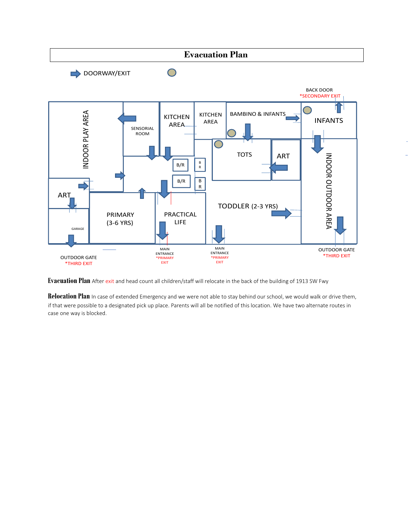

**Evacuation Plan** After exit and head count all children/staff will relocate in the back of the building of 1913 SW Fwy

Relocation Plan In case of extended Emergency and we were not able to stay behind our school, we would walk or drive them, if that were possible to a designated pick up place. Parents will all be notified of this location. We have two alternate routes in case one way is blocked.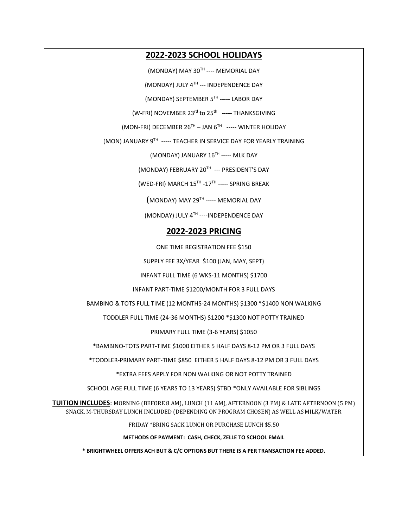#### **2022-2023 SCHOOL HOLIDAYS**

(MONDAY) MAY 30TH ---- MEMORIAL DAY

(MONDAY) JULY 4TH --- INDEPENDENCE DAY

(MONDAY) SEPTEMBER 5 TH ----- LABOR DAY

(W-FRI) NOVEMBER 23<sup>rd</sup> to 25<sup>th</sup> ----- THANKSGIVING

(MON-FRI) DECEMBER 26TH – JAN 6TH ----- WINTER HOLIDAY

(MON) JANUARY 9TH ----- TEACHER IN SERVICE DAY FOR YEARLY TRAINING

(MONDAY) JANUARY 16<sup>TH</sup> ----- MLK DAY

(MONDAY) FEBRUARY 20TH --- PRESIDENT'S DAY

 $(WED\text{-}FRI)$  MARCH  $15^{\text{TH}}$  - $17^{\text{TH}}$  ----- <code>SPRING</code> BREAK

 $(MONDAY)$  MAY 29TH ----- MEMORIAL DAY

(MONDAY) JULY  $4^{TH}$  ----INDEPENDENCE DAY

#### **2022-2023 PRICING**

ONE TIME REGISTRATION FEE \$150

SUPPLY FEE 3X/YEAR \$100 (JAN, MAY, SEPT)

INFANT FULL TIME (6 WKS-11 MONTHS) \$1700

INFANT PART-TIME \$1200/MONTH FOR 3 FULL DAYS

BAMBINO & TOTS FULL TIME (12 MONTHS-24 MONTHS) \$1300 \*\$1400 NON WALKING

TODDLER FULL TIME (24-36 MONTHS) \$1200 \*\$1300 NOT POTTY TRAINED

PRIMARY FULL TIME (3-6 YEARS) \$1050

\*BAMBINO-TOTS PART-TIME \$1000 EITHER 5 HALF DAYS 8-12 PM OR 3 FULL DAYS

\*TODDLER-PRIMARY PART-TIME \$850 EITHER 5 HALF DAYS 8-12 PM OR 3 FULL DAYS

\*EXTRA FEES APPLY FOR NON WALKING OR NOT POTTY TRAINED

SCHOOL AGE FULL TIME (6 YEARS TO 13 YEARS) \$TBD \*ONLY AVAILABLE FOR SIBLINGS

**TUITION INCLUDES**: MORNING (BEFORE 8 AM), LUNCH (11 AM), AFTERNOON (3 PM) & LATE AFTERNOON (5 PM) SNACK, M-THURSDAY LUNCH INCLUDED (DEPENDING ON PROGRAM CHOSEN) AS WELL AS MILK/WATER

FRIDAY \*BRING SACK LUNCH OR PURCHASE LUNCH \$5.50

**METHODS OF PAYMENT: CASH, CHECK, ZELLE TO SCHOOL EMAIL** 

**\* BRIGHTWHEEL OFFERS ACH BUT & C/C OPTIONS BUT THERE IS A PER TRANSACTION FEE ADDED.**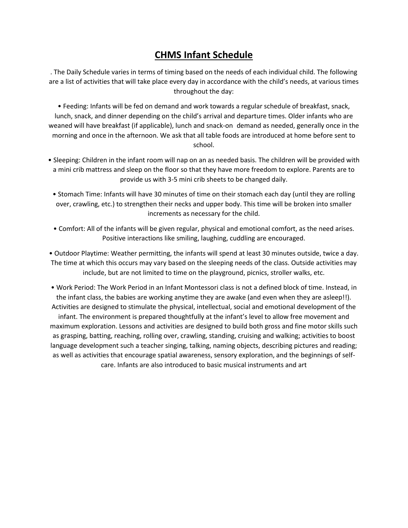## **CHMS Infant Schedule**

. The Daily Schedule varies in terms of timing based on the needs of each individual child. The following are a list of activities that will take place every day in accordance with the child's needs, at various times throughout the day:

• Feeding: Infants will be fed on demand and work towards a regular schedule of breakfast, snack, lunch, snack, and dinner depending on the child's arrival and departure times. Older infants who are weaned will have breakfast (if applicable), lunch and snack-on demand as needed, generally once in the morning and once in the afternoon. We ask that all table foods are introduced at home before sent to school.

- Sleeping: Children in the infant room will nap on an as needed basis. The children will be provided with a mini crib mattress and sleep on the floor so that they have more freedom to explore. Parents are to provide us with 3-5 mini crib sheets to be changed daily.
	- Stomach Time: Infants will have 30 minutes of time on their stomach each day (until they are rolling over, crawling, etc.) to strengthen their necks and upper body. This time will be broken into smaller increments as necessary for the child.
	- Comfort: All of the infants will be given regular, physical and emotional comfort, as the need arises. Positive interactions like smiling, laughing, cuddling are encouraged.

• Outdoor Playtime: Weather permitting, the infants will spend at least 30 minutes outside, twice a day. The time at which this occurs may vary based on the sleeping needs of the class. Outside activities may include, but are not limited to time on the playground, picnics, stroller walks, etc.

• Work Period: The Work Period in an Infant Montessori class is not a defined block of time. Instead, in the infant class, the babies are working anytime they are awake (and even when they are asleep!!). Activities are designed to stimulate the physical, intellectual, social and emotional development of the infant. The environment is prepared thoughtfully at the infant's level to allow free movement and maximum exploration. Lessons and activities are designed to build both gross and fine motor skills such as grasping, batting, reaching, rolling over, crawling, standing, cruising and walking; activities to boost language development such a teacher singing, talking, naming objects, describing pictures and reading; as well as activities that encourage spatial awareness, sensory exploration, and the beginnings of selfcare. Infants are also introduced to basic musical instruments and art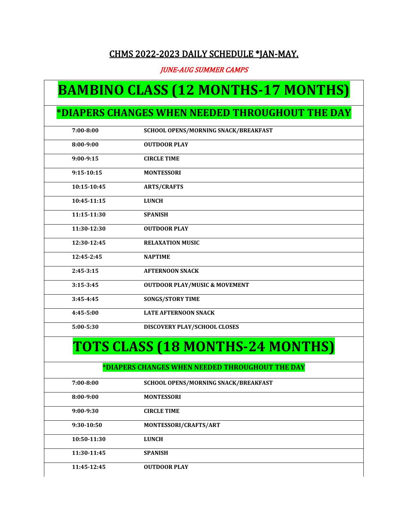### CHMS 2022-2023 DAILY SCHEDULE \*JAN-MAY.

JUNE-AUG SUMMER CAMPS

# **BAMBINO CLASS (12 MONTHS-17 MONTHS)**

# **\*DIAPERS CHANGES WHEN NEEDED THROUGHOUT THE DAY**

| $7:00 - 8:00$  | SCHOOL OPENS/MORNING SNACK/BREAKFAST            |
|----------------|-------------------------------------------------|
| 8:00-9:00      | <b>OUTDOOR PLAY</b>                             |
| $9:00-9:15$    | <b>CIRCLE TIME</b>                              |
| $9:15 - 10:15$ | <b>MONTESSORI</b>                               |
| 10:15-10:45    | <b>ARTS/CRAFTS</b>                              |
| 10:45-11:15    | <b>LUNCH</b>                                    |
| 11:15-11:30    | <b>SPANISH</b>                                  |
| 11:30-12:30    | <b>OUTDOOR PLAY</b>                             |
| 12:30-12:45    | <b>RELAXATION MUSIC</b>                         |
| 12:45-2:45     | <b>NAPTIME</b>                                  |
| $2:45-3:15$    | <b>AFTERNOON SNACK</b>                          |
| $3:15-3:45$    | <b>OUTDOOR PLAY/MUSIC &amp; MOVEMENT</b>        |
| $3:45 - 4:45$  | <b>SONGS/STORY TIME</b>                         |
| 4:45-5:00      | <b>LATE AFTERNOON SNACK</b>                     |
| 5:00-5:30      | DISCOVERY PLAY/SCHOOL CLOSES                    |
|                | <b>TOTS CLASS (18 MONTHS-24 MONTHS)</b>         |
|                | *DIAPERS CHANGES WHEN NEEDED THROUGHOUT THE DAY |
| $7:00 - 8:00$  | SCHOOL OPENS/MORNING SNACK/BREAKFAST            |
| $8:00-9:00$    | <b>MONTESSORI</b>                               |
| $9:00-9:30$    | <b>CIRCLE TIME</b>                              |
| 9:30-10:50     | MONTESSORI/CRAFTS/ART                           |
| 10:50-11:30    | <b>LUNCH</b>                                    |
| 11:30-11:45    | <b>SPANISH</b>                                  |
| 11:45-12:45    | <b>OUTDOOR PLAY</b>                             |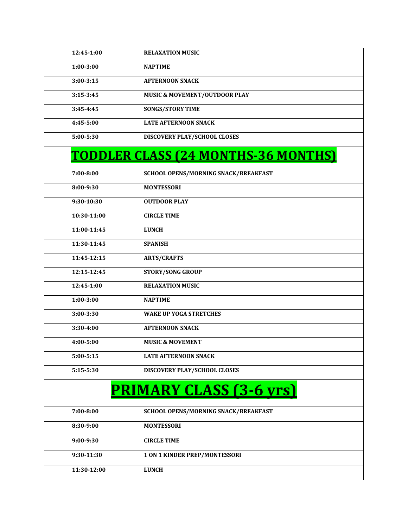| 12:45-1:00    | <b>RELAXATION MUSIC</b>                    |
|---------------|--------------------------------------------|
| $1:00 - 3:00$ | <b>NAPTIME</b>                             |
| $3:00 - 3:15$ | <b>AFTERNOON SNACK</b>                     |
| $3:15 - 3:45$ | <b>MUSIC &amp; MOVEMENT/OUTDOOR PLAY</b>   |
| 3:45-4:45     | <b>SONGS/STORY TIME</b>                    |
| 4:45-5:00     | <b>LATE AFTERNOON SNACK</b>                |
| 5:00-5:30     | DISCOVERY PLAY/SCHOOL CLOSES               |
|               | <b>TODDLER CLASS (24 MONTHS-36 MONTHS)</b> |
| $7:00 - 8:00$ | SCHOOL OPENS/MORNING SNACK/BREAKFAST       |
| 8:00-9:30     | <b>MONTESSORI</b>                          |
| 9:30-10:30    | <b>OUTDOOR PLAY</b>                        |
| 10:30-11:00   | <b>CIRCLE TIME</b>                         |
| 11:00-11:45   | <b>LUNCH</b>                               |
| 11:30-11:45   | <b>SPANISH</b>                             |
| 11:45-12:15   | <b>ARTS/CRAFTS</b>                         |
| 12:15-12:45   | <b>STORY/SONG GROUP</b>                    |
| 12:45-1:00    | <b>RELAXATION MUSIC</b>                    |
| $1:00 - 3:00$ | <b>NAPTIME</b>                             |
| 3:00-3:30     | <b>WAKE UP YOGA STRETCHES</b>              |
| 3:30-4:00     | <b>AFTERNOON SNACK</b>                     |
| $4:00 - 5:00$ | <b>MUSIC &amp; MOVEMENT</b>                |
| $5:00 - 5:15$ | <b>LATE AFTERNOON SNACK</b>                |
| 5:15-5:30     | DISCOVERY PLAY/SCHOOL CLOSES               |
|               | <b>PRIMARY CLASS (3-6 yrs)</b>             |
| $7:00 - 8:00$ | SCHOOL OPENS/MORNING SNACK/BREAKFAST       |
| 8:30-9:00     | <b>MONTESSORI</b>                          |
| 9:00-9:30     | <b>CIRCLE TIME</b>                         |
| 9:30-11:30    | 1 ON 1 KINDER PREP/MONTESSORI              |
| 11:30-12:00   | <b>LUNCH</b>                               |